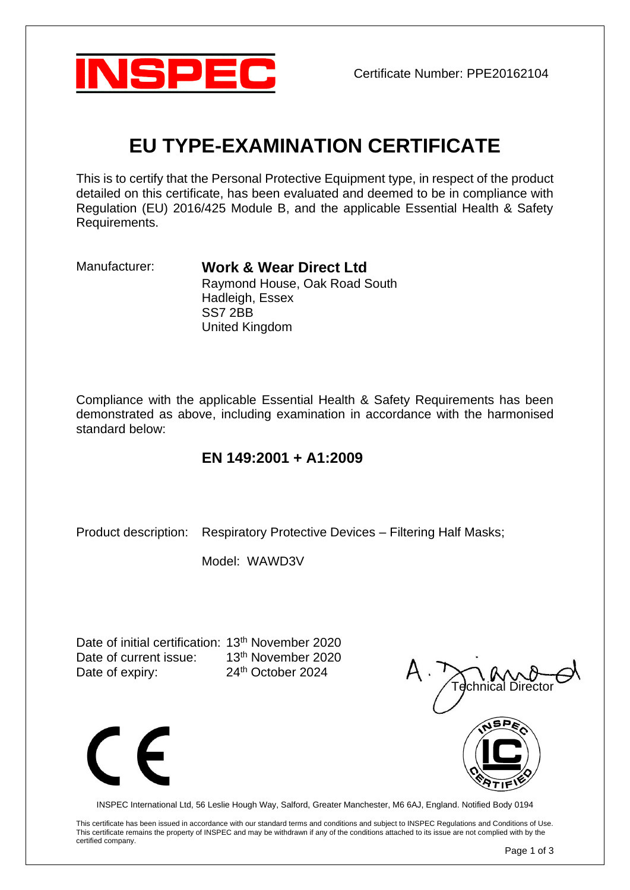

# **EU TYPE-EXAMINATION CERTIFICATE**

This is to certify that the Personal Protective Equipment type, in respect of the product detailed on this certificate, has been evaluated and deemed to be in compliance with Regulation (EU) 2016/425 Module B, and the applicable Essential Health & Safety Requirements.

Manufacturer: **Work & Wear Direct Ltd** Raymond House, Oak Road South Hadleigh, Essex SS7 2BB United Kingdom

Compliance with the applicable Essential Health & Safety Requirements has been demonstrated as above, including examination in accordance with the harmonised standard below:

## **EN 149:2001 + A1:2009**

Product description: Respiratory Protective Devices – Filtering Half Masks;

Model: WAWD3V

Date of initial certification: 13<sup>th</sup> November 2020 Date of current issue: 13<sup>th</sup> November 2020 Date of expiry: 24<sup>th</sup> October 2024





INSPEC International Ltd, 56 Leslie Hough Way, Salford, Greater Manchester, M6 6AJ, England. Notified Body 0194

This certificate has been issued in accordance with our standard terms and conditions and subject to INSPEC Regulations and Conditions of Use. This certificate remains the property of INSPEC and may be withdrawn if any of the conditions attached to its issue are not complied with by the certified company.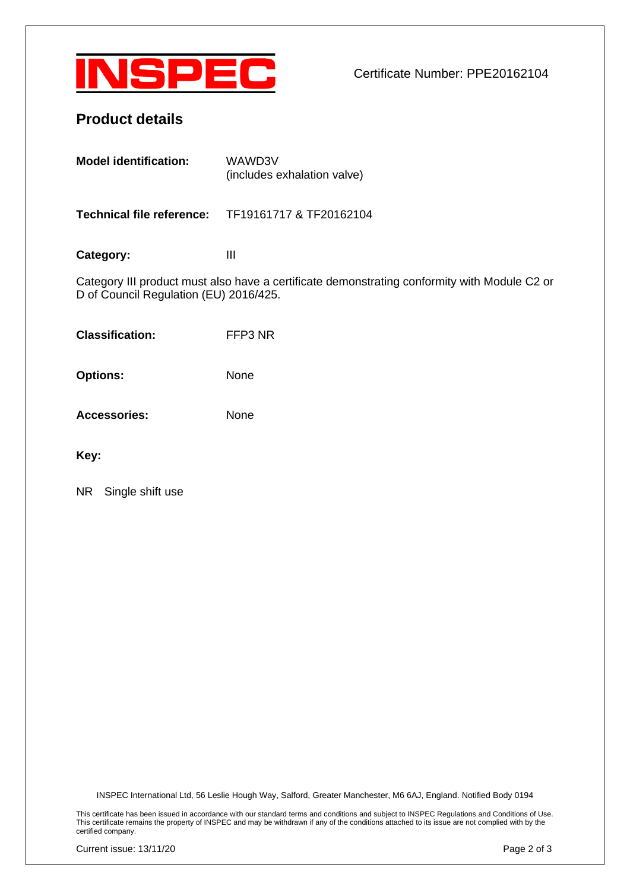

Certificate Number: PPE20162104

## **Product details**

| <b>Model identification:</b> | WAWD3V<br>(includes exhalation valve) |
|------------------------------|---------------------------------------|
|                              |                                       |

**Technical file reference:** TF19161717 & TF20162104

Category: III

Category III product must also have a certificate demonstrating conformity with Module C2 or D of Council Regulation (EU) 2016/425.

**Classification:** FFP3 NR

**Options:** None

**Accessories:** None

**Key:**

NR Single shift use

INSPEC International Ltd, 56 Leslie Hough Way, Salford, Greater Manchester, M6 6AJ, England. Notified Body 0194

This certificate has been issued in accordance with our standard terms and conditions and subject to INSPEC Regulations and Conditions of Use. This certificate remains the property of INSPEC and may be withdrawn if any of the conditions attached to its issue are not complied with by the certified company.